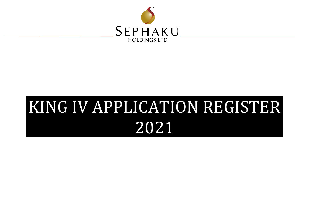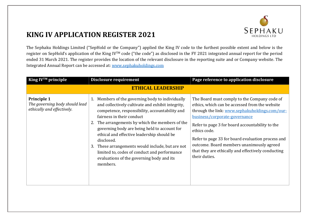

The Sephaku Holdings Limited ("SepHold or the Company") applied the King IV code to the furthest possible extent and below is the register on SepHold's application of the King IVTM code ("the code") as disclosed in the FY 2021 integrated annual report for the period ended 31 March 2021. The register provides the location of the relevant disclosure in the reporting suite and or Company website. The Integrated Annual Report can be accessed at: [www.sephakuholdings.com](http://www.sephakuholdings.com/)

| King IV™ principle                                                                 | Disclosure requirement                                                                                                                                                                                                                                                                                                                                                                                                                                                                                              | Page reference to application disclosure                                                                                                                                                                                                                                                                                                                                                                                      |
|------------------------------------------------------------------------------------|---------------------------------------------------------------------------------------------------------------------------------------------------------------------------------------------------------------------------------------------------------------------------------------------------------------------------------------------------------------------------------------------------------------------------------------------------------------------------------------------------------------------|-------------------------------------------------------------------------------------------------------------------------------------------------------------------------------------------------------------------------------------------------------------------------------------------------------------------------------------------------------------------------------------------------------------------------------|
|                                                                                    | <b>ETHICAL LEADERSHIP</b>                                                                                                                                                                                                                                                                                                                                                                                                                                                                                           |                                                                                                                                                                                                                                                                                                                                                                                                                               |
| <b>Principle 1</b><br>The governing body should lead<br>ethically and effectively. | 1. Members of the governing body to individually<br>and collectively cultivate and exhibit integrity,<br>competence, responsibility, accountability and<br>fairness in their conduct<br>2. The arrangements by which the members of the<br>governing body are being held to account for<br>ethical and effective leadership should be<br>disclosed.<br>These arrangements would include, but are not<br>3.<br>limited to, codes of conduct and performance<br>evaluations of the governing body and its<br>members. | The Board must comply to the Company code of<br>ethics, which can be accessed from the website<br>through the link: www.sephakuholdings.com/our-<br>business/corporate-governance<br>Refer to page 3 for board accountability to the<br>ethics code.<br>Refer to page 33 for board evaluation process and<br>outcome. Board members unanimously agreed<br>that they are ethically and effectively conducting<br>their duties. |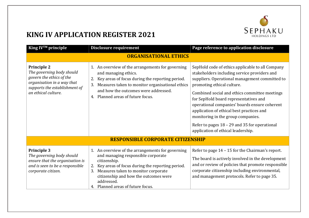

| King IV™ principle                                                                                                                                                | Disclosure requirement                                                                                                                                                                                                                                                                                      | Page reference to application disclosure                                                                                                                                                                                                                                                                                                                                                                                                                                                              |
|-------------------------------------------------------------------------------------------------------------------------------------------------------------------|-------------------------------------------------------------------------------------------------------------------------------------------------------------------------------------------------------------------------------------------------------------------------------------------------------------|-------------------------------------------------------------------------------------------------------------------------------------------------------------------------------------------------------------------------------------------------------------------------------------------------------------------------------------------------------------------------------------------------------------------------------------------------------------------------------------------------------|
|                                                                                                                                                                   | <b>ORGANISATIONAL ETHICS</b>                                                                                                                                                                                                                                                                                |                                                                                                                                                                                                                                                                                                                                                                                                                                                                                                       |
| <b>Principle 2</b><br>The governing body should<br>govern the ethics of the<br>organisation in a way that<br>supports the establishment of<br>an ethical culture. | 1. An overview of the arrangements for governing<br>and managing ethics.<br>Key areas of focus during the reporting period.<br>2.<br>Measures taken to monitor organisational ethics<br>3.<br>and how the outcomes were addressed.<br>Planned areas of future focus.<br>4.                                  | SepHold code of ethics applicable to all Company<br>stakeholders including service providers and<br>suppliers. Operational management committed to<br>promoting ethical culture.<br>Combined social and ethics committee meetings<br>for SepHold board representatives and<br>operational companies' boards ensure coherent<br>application of ethical best practices and<br>monitoring in the group companies.<br>Refer to pages 18 - 29 and 35 for operational<br>application of ethical leadership. |
|                                                                                                                                                                   | <b>RESPONSIBLE CORPORATE CITIZENSHIP</b>                                                                                                                                                                                                                                                                    |                                                                                                                                                                                                                                                                                                                                                                                                                                                                                                       |
| <b>Principle 3</b><br>The governing body should<br>ensure that the organisation is<br>and is seen to be a responsible<br>corporate citizen.                       | 1. An overview of the arrangements for governing<br>and managing responsible corporate<br>citizenship.<br>2.<br>Key areas of focus during the reporting period.<br>Measures taken to monitor corporate<br>3.<br>citizenship and how the outcomes were<br>addressed.<br>Planned areas of future focus.<br>4. | Refer to page 14 - 15 for the Chairman's report.<br>The board is actively involved in the development<br>and or review of policies that promote responsible<br>corporate citizenship including environmental,<br>and management protocols. Refer to page 35.                                                                                                                                                                                                                                          |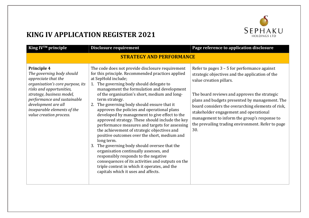

| King IV™ principle                                                                                                                                                                                                                                                           | Disclosure requirement                                                                                                                                                                                                                                                                                                                                                                                                                                                                                                                                                                                                                                                                                                                                                                                                                                                                                                                       | Page reference to application disclosure                                                                                                                                                                                                                                                                                                                                                                                                  |  |
|------------------------------------------------------------------------------------------------------------------------------------------------------------------------------------------------------------------------------------------------------------------------------|----------------------------------------------------------------------------------------------------------------------------------------------------------------------------------------------------------------------------------------------------------------------------------------------------------------------------------------------------------------------------------------------------------------------------------------------------------------------------------------------------------------------------------------------------------------------------------------------------------------------------------------------------------------------------------------------------------------------------------------------------------------------------------------------------------------------------------------------------------------------------------------------------------------------------------------------|-------------------------------------------------------------------------------------------------------------------------------------------------------------------------------------------------------------------------------------------------------------------------------------------------------------------------------------------------------------------------------------------------------------------------------------------|--|
| <b>STRATEGY AND PERFORMANCE</b>                                                                                                                                                                                                                                              |                                                                                                                                                                                                                                                                                                                                                                                                                                                                                                                                                                                                                                                                                                                                                                                                                                                                                                                                              |                                                                                                                                                                                                                                                                                                                                                                                                                                           |  |
| Principle 4<br>The governing body should<br>appreciate that the<br>organisation's core purpose, its<br>risks and opportunities,<br>strategy, business model,<br>performance and sustainable<br>development are all<br>inseparable elements of the<br>value creation process. | The code does not provide disclosure requirement<br>for this principle. Recommended practices applied<br>at SepHold include;<br>1. The governing body should delegate to<br>management the formulation and development<br>of the organisation's short, medium and long-<br>term strategy.<br>2. The governing body should ensure that it<br>approves the policies and operational plans<br>developed by management to give effect to the<br>approved strategy. These should include the key<br>performance measures and targets for assessing<br>the achievement of strategic objectives and<br>positive outcomes over the short, medium and<br>long term.<br>The governing body should oversee that the<br>3.<br>organisation continually assesses, and<br>responsibly responds to the negative<br>consequences of its activities and outputs on the<br>triple context in which it operates, and the<br>capitals which it uses and affects. | Refer to pages $3 - 5$ for performance against<br>strategic objectives and the application of the<br>value creation pillars.<br>The board reviews and approves the strategic<br>plans and budgets presented by management. The<br>board considers the overarching elements of risk,<br>stakeholder engagement and operational<br>management to inform the group's response to<br>the prevailing trading environment. Refer to page<br>30. |  |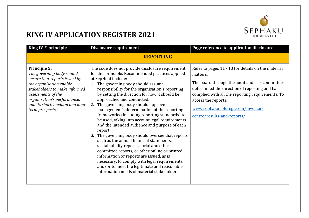

| King IV™ principle                                                                                                                                                                                                                                | Disclosure requirement                                                                                                                                                                                                                                                                                                                                                                                                                                                                                                                                                                                                                                                                                                                                                                                                                                                                                                                                       | Page reference to application disclosure                                                                                                                                                                                                                                                                          |
|---------------------------------------------------------------------------------------------------------------------------------------------------------------------------------------------------------------------------------------------------|--------------------------------------------------------------------------------------------------------------------------------------------------------------------------------------------------------------------------------------------------------------------------------------------------------------------------------------------------------------------------------------------------------------------------------------------------------------------------------------------------------------------------------------------------------------------------------------------------------------------------------------------------------------------------------------------------------------------------------------------------------------------------------------------------------------------------------------------------------------------------------------------------------------------------------------------------------------|-------------------------------------------------------------------------------------------------------------------------------------------------------------------------------------------------------------------------------------------------------------------------------------------------------------------|
|                                                                                                                                                                                                                                                   | <b>REPORTING</b>                                                                                                                                                                                                                                                                                                                                                                                                                                                                                                                                                                                                                                                                                                                                                                                                                                                                                                                                             |                                                                                                                                                                                                                                                                                                                   |
| Principle 5:<br>The governing body should<br>ensure that reports issued by<br>the organisation enable<br>stakeholders to make informed<br>assessments of the<br>organisation's performance,<br>and its short, medium and long-<br>term prospects. | The code does not provide disclosure requirement<br>for this principle. Recommended practices applied<br>at SepHold include;<br>1. The governing body should assume<br>responsibility for the organisation's reporting<br>by setting the direction for how it should be<br>approached and conducted.<br>The governing body should approve<br>2.<br>management's determination of the reporting<br>frameworks (including reporting standards) to<br>be used, taking into account legal requirements<br>and the intended audience and purpose of each<br>report.<br>The governing body should oversee that reports<br>3.<br>such as the annual financial statements,<br>sustainability reports, social and ethics<br>committee reports, or other online or printed<br>information or reports are issued, as is<br>necessary, to comply with legal requirements,<br>and/or to meet the legitimate and reasonable<br>information needs of material stakeholders. | Refer to pages 11 - 13 for details on the material<br>matters.<br>The board through the audit and risk committees<br>determined the direction of reporting and has<br>complied with all the reporting requirements. To<br>access the reports:<br>www.sephakuholdings.com/investor-<br>centre/results-and-reports/ |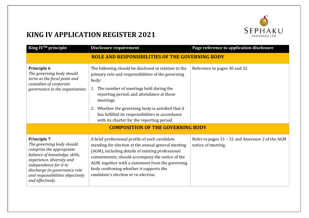

| King IV™ principle                                                                                                                                                                                                                                           | Disclosure requirement                                                                                                                                                                                                                                                                                                                                                             | Page reference to application disclosure                               |
|--------------------------------------------------------------------------------------------------------------------------------------------------------------------------------------------------------------------------------------------------------------|------------------------------------------------------------------------------------------------------------------------------------------------------------------------------------------------------------------------------------------------------------------------------------------------------------------------------------------------------------------------------------|------------------------------------------------------------------------|
|                                                                                                                                                                                                                                                              | <b>ROLE AND RESPONSIBILITIES OF THE GOVERNING BODY</b>                                                                                                                                                                                                                                                                                                                             |                                                                        |
| Principle 6<br>The governing body should<br>serve as the focal point and<br>custodian of corporate<br>governance in the organisation.                                                                                                                        | The following should be disclosed in relation to the<br>primary role and responsibilities of the governing<br>body:<br>1. The number of meetings held during the<br>reporting period, and attendance at those<br>meetings.<br>2. Whether the governing body is satisfied that it<br>has fulfilled its responsibilities in accordance<br>with its charter for the reporting period. | Reference to pages 30 and 32.                                          |
|                                                                                                                                                                                                                                                              | <b>COMPOSITION OF THE GOVERNING BODY</b>                                                                                                                                                                                                                                                                                                                                           |                                                                        |
| <b>Principle 7</b><br>The governing body should<br>comprise the appropriate<br>balance of knowledge, skills,<br>experience, diversity and<br>independence for it to<br>discharge its governance role<br>and responsibilities objectively<br>and effectively. | A brief professional profile of each candidate<br>standing for election at the annual general meeting<br>(AGM), including details of existing professional<br>commitments, should accompany the notice of the<br>AGM, together with a statement from the governing<br>body confirming whether it supports the<br>candidate's election or re-election.                              | Refer to pages 31 - 32 and Annexure 2 of the AGM<br>notice of meeting. |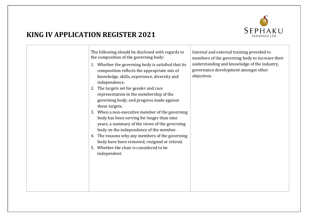

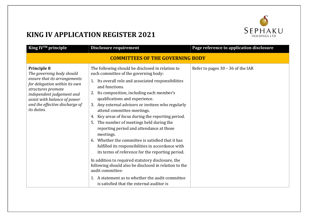

| King IV™ principle                                                                                                                                                                                                                                   | <b>Disclosure requirement</b>                                                                                                                                                                                                                                                                                                                                                                                                                                                                                                                                                                                                                                                                                                                                                                                                                                                                                    | Page reference to application disclosure |
|------------------------------------------------------------------------------------------------------------------------------------------------------------------------------------------------------------------------------------------------------|------------------------------------------------------------------------------------------------------------------------------------------------------------------------------------------------------------------------------------------------------------------------------------------------------------------------------------------------------------------------------------------------------------------------------------------------------------------------------------------------------------------------------------------------------------------------------------------------------------------------------------------------------------------------------------------------------------------------------------------------------------------------------------------------------------------------------------------------------------------------------------------------------------------|------------------------------------------|
|                                                                                                                                                                                                                                                      | <b>COMMITTEES OF THE GOVERNING BODY</b>                                                                                                                                                                                                                                                                                                                                                                                                                                                                                                                                                                                                                                                                                                                                                                                                                                                                          |                                          |
| <b>Principle 8</b><br>The governing body should<br>ensure that its arrangements<br>for delegation within its own<br>structures promote<br>independent judgement and<br>assist with balance of power<br>and the effective discharge of<br>its duties. | The following should be disclosed in relation to<br>each committee of the governing body:<br>1. Its overall role and associated responsibilities<br>and functions.<br>Its composition, including each member's<br>2.<br>qualifications and experience.<br>3. Any external advisers or invitees who regularly<br>attend committee meetings.<br>Key areas of focus during the reporting period.<br>4.<br>The number of meetings held during the<br>5.<br>reporting period and attendance at those<br>meetings.<br>Whether the committee is satisfied that it has<br>6.<br>fulfilled its responsibilities in accordance with<br>its terms of reference for the reporting period.<br>In addition to required statutory disclosure, the<br>following should also be disclosed in relation to the<br>audit committee:<br>1. A statement as to whether the audit committee<br>is satisfied that the external auditor is | Refer to pages $30 - 36$ of the IAR      |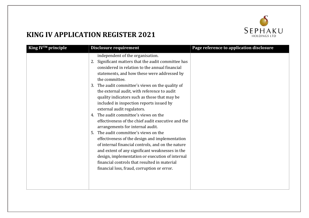

| King IV™ principle | Disclosure requirement                                                                                                                                                                                                                                                                                                                                                                                                                                                                                                                                                                                                                                                                                                                                                                                                                                                                                                             | Page reference to application disclosure |
|--------------------|------------------------------------------------------------------------------------------------------------------------------------------------------------------------------------------------------------------------------------------------------------------------------------------------------------------------------------------------------------------------------------------------------------------------------------------------------------------------------------------------------------------------------------------------------------------------------------------------------------------------------------------------------------------------------------------------------------------------------------------------------------------------------------------------------------------------------------------------------------------------------------------------------------------------------------|------------------------------------------|
|                    | independent of the organisation.<br>2. Significant matters that the audit committee has<br>considered in relation to the annual financial<br>statements, and how these were addressed by<br>the committee.<br>3. The audit committee's views on the quality of<br>the external audit, with reference to audit<br>quality indicators such as those that may be<br>included in inspection reports issued by<br>external audit regulators.<br>4. The audit committee's views on the<br>effectiveness of the chief audit executive and the<br>arrangements for internal audit.<br>The audit committee's views on the<br>5.<br>effectiveness of the design and implementation<br>of internal financial controls, and on the nature<br>and extent of any significant weaknesses in the<br>design, implementation or execution of internal<br>financial controls that resulted in material<br>financial loss, fraud, corruption or error. |                                          |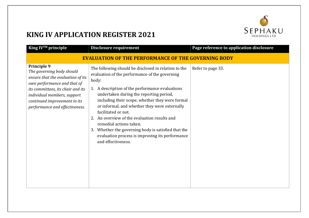

| King IV™ principle                                                                                                                                                                                                                                 | Disclosure requirement                                                                                                                                                                                                                                                                                                                                                                                                                                                                                                                                 | Page reference to application disclosure |
|----------------------------------------------------------------------------------------------------------------------------------------------------------------------------------------------------------------------------------------------------|--------------------------------------------------------------------------------------------------------------------------------------------------------------------------------------------------------------------------------------------------------------------------------------------------------------------------------------------------------------------------------------------------------------------------------------------------------------------------------------------------------------------------------------------------------|------------------------------------------|
| <b>EVALUATION OF THE PERFORMANCE OF THE GOVERNING BODY</b>                                                                                                                                                                                         |                                                                                                                                                                                                                                                                                                                                                                                                                                                                                                                                                        |                                          |
| Principle 9<br>The governing body should<br>ensure that the evaluation of its<br>own performance and that of<br>its committees, its chair and its<br>individual members, support<br>continued improvement in its<br>performance and effectiveness. | The following should be disclosed in relation to the<br>evaluation of the performance of the governing<br>body:<br>1. A description of the performance evaluations<br>undertaken during the reporting period,<br>including their scope, whether they were formal<br>or informal, and whether they were externally<br>facilitated or not.<br>2. An overview of the evaluation results and<br>remedial actions taken.<br>Whether the governing body is satisfied that the<br>3.<br>evaluation process is improving its performance<br>and effectiveness. | Refer to page 33.                        |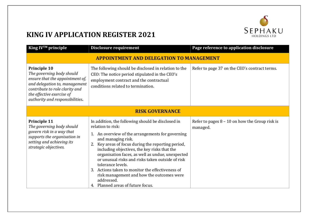

| King IV™ principle                                                                                                                                                                                                     | Disclosure requirement                                                                                                                                                                                                                                                                                                                                                                                                                                                                                                                  | Page reference to application disclosure                     |  |
|------------------------------------------------------------------------------------------------------------------------------------------------------------------------------------------------------------------------|-----------------------------------------------------------------------------------------------------------------------------------------------------------------------------------------------------------------------------------------------------------------------------------------------------------------------------------------------------------------------------------------------------------------------------------------------------------------------------------------------------------------------------------------|--------------------------------------------------------------|--|
| <b>APPOINTMENT AND DELEGATION TO MANAGEMENT</b>                                                                                                                                                                        |                                                                                                                                                                                                                                                                                                                                                                                                                                                                                                                                         |                                                              |  |
| <b>Principle 10</b><br>The governing body should<br>ensure that the appointment of,<br>and delegation to, management<br>contribute to role clarity and<br>the effective exercise of<br>authority and responsibilities. | The following should be disclosed in relation to the<br>CEO: The notice period stipulated in the CEO's<br>employment contract and the contractual<br>conditions related to termination.                                                                                                                                                                                                                                                                                                                                                 | Refer to page 37 on the CEO's contract terms.                |  |
| <b>RISK GOVERNANCE</b>                                                                                                                                                                                                 |                                                                                                                                                                                                                                                                                                                                                                                                                                                                                                                                         |                                                              |  |
| Principle 11<br>The governing body should<br>govern risk in a way that<br>supports the organisation in<br>setting and achieving its<br>strategic objectives.                                                           | In addition, the following should be disclosed in<br>relation to risk:<br>1. An overview of the arrangements for governing<br>and managing risk.<br>2. Key areas of focus during the reporting period,<br>including objectives, the key risks that the<br>organisation faces, as well as undue, unexpected<br>or unusual risks and risks taken outside of risk<br>tolerance levels.<br>3. Actions taken to monitor the effectiveness of<br>risk management and how the outcomes were<br>addressed.<br>4. Planned areas of future focus. | Refer to pages $8 - 10$ on how the Group risk is<br>managed. |  |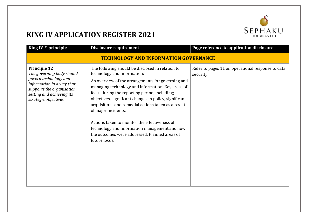

| King IV™ principle                                                                                                                                                                        | Disclosure requirement                                                                                                                                                                                                                                                                                                                                                                                                                                                                                                                                 | Page reference to application disclosure                       |  |
|-------------------------------------------------------------------------------------------------------------------------------------------------------------------------------------------|--------------------------------------------------------------------------------------------------------------------------------------------------------------------------------------------------------------------------------------------------------------------------------------------------------------------------------------------------------------------------------------------------------------------------------------------------------------------------------------------------------------------------------------------------------|----------------------------------------------------------------|--|
|                                                                                                                                                                                           | <b>TECHNOLOGY AND INFORMATION GOVERNANCE</b>                                                                                                                                                                                                                                                                                                                                                                                                                                                                                                           |                                                                |  |
| <b>Principle 12</b><br>The governing body should<br>govern technology and<br>information in a way that<br>supports the organisation<br>setting and achieving its<br>strategic objectives. | The following should be disclosed in relation to<br>technology and information:<br>An overview of the arrangements for governing and<br>managing technology and information. Key areas of<br>focus during the reporting period, including;<br>objectives, significant changes in policy, significant<br>acquisitions and remedial actions taken as a result<br>of major incidents.<br>Actions taken to monitor the effectiveness of<br>technology and information management and how<br>the outcomes were addressed. Planned areas of<br>future focus. | Refer to pages 11 on operational response to data<br>security. |  |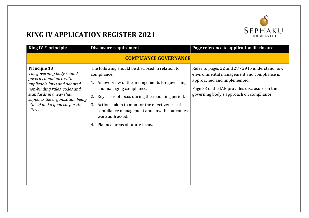

| King IV™ principle                                                                                                                                                                                                                                   | Disclosure requirement                                                                                                                                                                                                                                                                                                                                                | Page reference to application disclosure                                                                                                                                                                                 |
|------------------------------------------------------------------------------------------------------------------------------------------------------------------------------------------------------------------------------------------------------|-----------------------------------------------------------------------------------------------------------------------------------------------------------------------------------------------------------------------------------------------------------------------------------------------------------------------------------------------------------------------|--------------------------------------------------------------------------------------------------------------------------------------------------------------------------------------------------------------------------|
|                                                                                                                                                                                                                                                      | <b>COMPLIANCE GOVERNANCE</b>                                                                                                                                                                                                                                                                                                                                          |                                                                                                                                                                                                                          |
| <b>Principle 13</b><br>The governing body should<br>govern compliance with<br>applicable laws and adopted,<br>non-binding rules, codes and<br>standards in a way that<br>supports the organisation being<br>ethical and a good corporate<br>citizen. | The following should be disclosed in relation to<br>compliance:<br>1. An overview of the arrangements for governing<br>and managing compliance.<br>Key areas of focus during the reporting period.<br>2.<br>3. Actions taken to monitor the effectiveness of<br>compliance management and how the outcomes<br>were addressed.<br>Planned areas of future focus.<br>4. | Refer to pages 22 and 28 - 29 to understand how<br>environmental management and compliance is<br>approached and implemented.<br>Page 33 of the IAR provides disclosure on the<br>governing body's approach on compliance |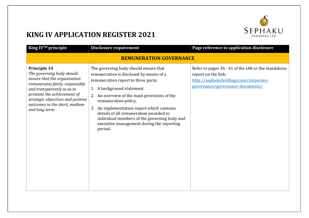

| King IV™ principle                                                                                                                                                                                                                                               | Disclosure requirement                                                                                                                                                                                                                                                                                                                                                                                                        | Page reference to application disclosure                                                                                                                |  |
|------------------------------------------------------------------------------------------------------------------------------------------------------------------------------------------------------------------------------------------------------------------|-------------------------------------------------------------------------------------------------------------------------------------------------------------------------------------------------------------------------------------------------------------------------------------------------------------------------------------------------------------------------------------------------------------------------------|---------------------------------------------------------------------------------------------------------------------------------------------------------|--|
| <b>REMUNERATION GOVERNANCE</b>                                                                                                                                                                                                                                   |                                                                                                                                                                                                                                                                                                                                                                                                                               |                                                                                                                                                         |  |
| Principle 14<br>The governing body should<br>ensure that the organisation<br>remunerates fairly, responsibly<br>and transparently so as to<br>promote the achievement of<br>strategic objectives and positive<br>outcomes in the short, medium<br>and long term. | The governing body should ensure that<br>remuneration is disclosed by means of a<br>remuneration report in three parts:<br>1. A background statement.<br>2. An overview of the main provisions of the<br>remuneration policy.<br>3. An implementation report which contains<br>details of all remuneration awarded to<br>individual members of the governing body and<br>executive management during the reporting<br>period. | Refer to pages 36 - 41 of the IAR or the standalone<br>report on the link:<br>http://sephakuholdings.com/corporate-<br>governance/governance-documents/ |  |